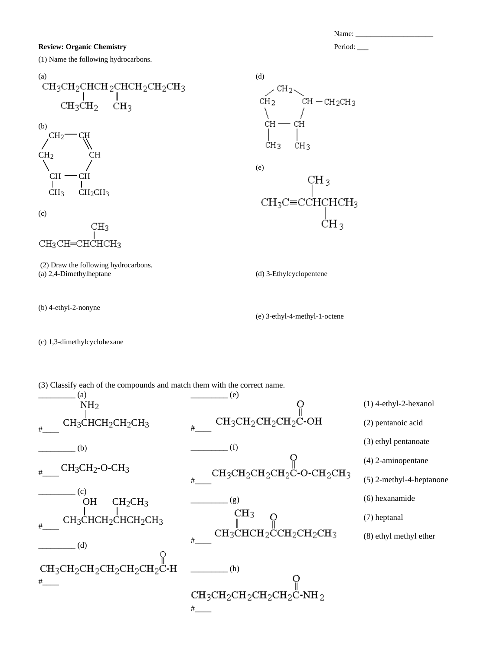## **Review: Organic Chemistry Period:** 2008. **Period:** 2008. **Period:** 2008. **Period:** 2008. **Period:** 2008. **Period:** 2008. **Period:** 2008. **Period:** 2008. **Period:** 2008. **Period:** 2008. **Period:** 2008. **Period:** 2008. **P**

(1) Name the following hydrocarbons.



(b) CH  $CH$  –  $CH$  $CH<sub>2</sub>$  $CH<sub>2</sub>$  CH CH<sub>3</sub> CH<sub>2</sub>CH<sub>3</sub>

(c)



- (2) Draw the following hydrocarbons. (a) 2,4-Dimethylheptane
- (b) 4-ethyl-2-nonyne

(d)  
\n
$$
CH_2
$$
  
\n $CH_2$   
\n $CH - CH_2CH_3$   
\n $CH - CH$   
\n $CH_3$   
\n $CH_3$ 

(e)



(d) 3-Ethylcyclopentene

(e) 3-ethyl-4-methyl-1-octene

(c) 1,3-dimethylcyclohexane

(3) Classify each of the compounds and match them with the correct name.